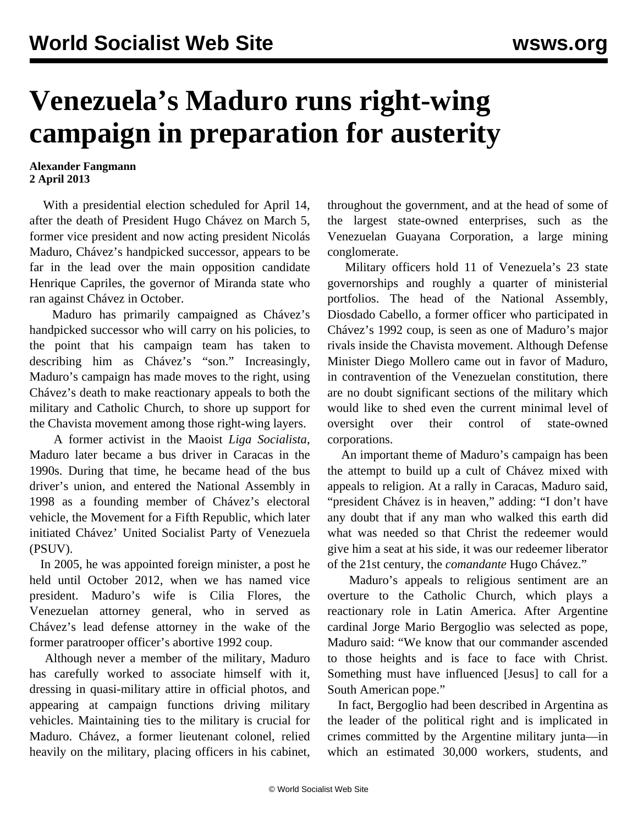## **Venezuela's Maduro runs right-wing campaign in preparation for austerity**

## **Alexander Fangmann 2 April 2013**

 With a presidential election scheduled for April 14, after the death of President Hugo Chávez on March 5, former vice president and now acting president Nicolás Maduro, Chávez's handpicked successor, appears to be far in the lead over the main opposition candidate Henrique Capriles, the governor of Miranda state who ran against Chávez in October.

 Maduro has primarily campaigned as Chávez's handpicked successor who will carry on his policies, to the point that his campaign team has taken to describing him as Chávez's "son." Increasingly, Maduro's campaign has made moves to the right, using Chávez's death to make reactionary appeals to both the military and Catholic Church, to shore up support for the Chavista movement among those right-wing layers.

 A former activist in the Maoist *Liga Socialista*, Maduro later became a bus driver in Caracas in the 1990s. During that time, he became head of the bus driver's union, and entered the National Assembly in 1998 as a founding member of Chávez's electoral vehicle, the Movement for a Fifth Republic, which later initiated Chávez' United Socialist Party of Venezuela (PSUV).

 In 2005, he was appointed foreign minister, a post he held until October 2012, when we has named vice president. Maduro's wife is Cilia Flores, the Venezuelan attorney general, who in served as Chávez's lead defense attorney in the wake of the former paratrooper officer's abortive 1992 coup.

 Although never a member of the military, Maduro has carefully worked to associate himself with it, dressing in quasi-military attire in official photos, and appearing at campaign functions driving military vehicles. Maintaining ties to the military is crucial for Maduro. Chávez, a former lieutenant colonel, relied heavily on the military, placing officers in his cabinet, throughout the government, and at the head of some of the largest state-owned enterprises, such as the Venezuelan Guayana Corporation, a large mining conglomerate.

 Military officers hold 11 of Venezuela's 23 state governorships and roughly a quarter of ministerial portfolios. The head of the National Assembly, Diosdado Cabello, a former officer who participated in Chávez's 1992 coup, is seen as one of Maduro's major rivals inside the Chavista movement. Although Defense Minister Diego Mollero came out in favor of Maduro, in contravention of the Venezuelan constitution, there are no doubt significant sections of the military which would like to shed even the current minimal level of oversight over their control of state-owned corporations.

 An important theme of Maduro's campaign has been the attempt to build up a cult of Chávez mixed with appeals to religion. At a rally in Caracas, Maduro said, "president Chávez is in heaven," adding: "I don't have any doubt that if any man who walked this earth did what was needed so that Christ the redeemer would give him a seat at his side, it was our redeemer liberator of the 21st century, the *comandante* Hugo Chávez."

 Maduro's appeals to religious sentiment are an overture to the Catholic Church, which plays a reactionary role in Latin America. After Argentine cardinal Jorge Mario Bergoglio was selected as pope, Maduro said: "We know that our commander ascended to those heights and is face to face with Christ. Something must have influenced [Jesus] to call for a South American pope."

 In fact, Bergoglio had been described in Argentina as the leader of the political right and is implicated in crimes committed by the Argentine military junta—in which an estimated 30,000 workers, students, and